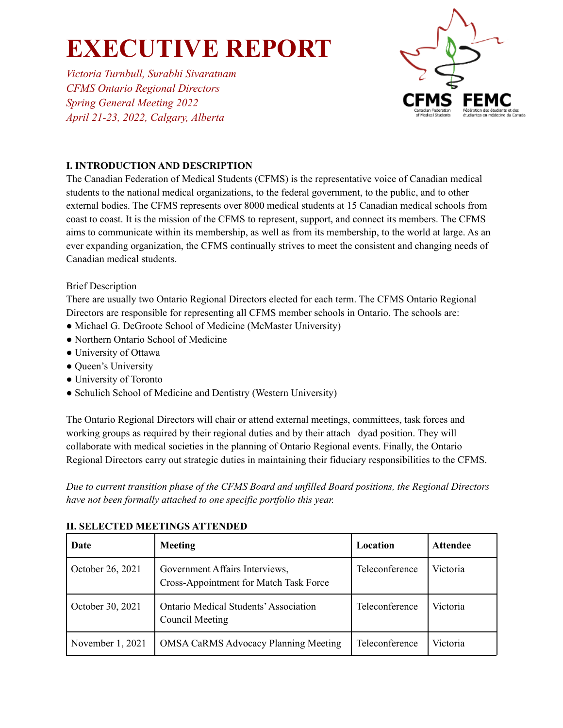*Victoria Turnbull, Surabhi Sivaratnam CFMS Ontario Regional Directors Spring General Meeting 2022 April 21-23, 2022, Calgary, Alberta*



### **I. INTRODUCTION AND DESCRIPTION**

The Canadian Federation of Medical Students (CFMS) is the representative voice of Canadian medical students to the national medical organizations, to the federal government, to the public, and to other external bodies. The CFMS represents over 8000 medical students at 15 Canadian medical schools from coast to coast. It is the mission of the CFMS to represent, support, and connect its members. The CFMS aims to communicate within its membership, as well as from its membership, to the world at large. As an ever expanding organization, the CFMS continually strives to meet the consistent and changing needs of Canadian medical students.

### Brief Description

There are usually two Ontario Regional Directors elected for each term. The CFMS Ontario Regional Directors are responsible for representing all CFMS member schools in Ontario. The schools are:

- Michael G. DeGroote School of Medicine (McMaster University)
- Northern Ontario School of Medicine
- University of Ottawa
- Queen's University
- University of Toronto
- Schulich School of Medicine and Dentistry (Western University)

The Ontario Regional Directors will chair or attend external meetings, committees, task forces and working groups as required by their regional duties and by their attach dyad position. They will collaborate with medical societies in the planning of Ontario Regional events. Finally, the Ontario Regional Directors carry out strategic duties in maintaining their fiduciary responsibilities to the CFMS.

*Due to current transition phase of the CFMS Board and unfilled Board positions, the Regional Directors have not been formally attached to one specific portfolio this year.*

| Date             | <b>Meeting</b>                                                           | Location       | <b>Attendee</b> |
|------------------|--------------------------------------------------------------------------|----------------|-----------------|
| October 26, 2021 | Government Affairs Interviews,<br>Cross-Appointment for Match Task Force | Teleconference | Victoria        |
| October 30, 2021 | <b>Ontario Medical Students' Association</b><br><b>Council Meeting</b>   | Teleconference | Victoria        |
| November 1, 2021 | <b>OMSA CaRMS Advocacy Planning Meeting</b>                              | Teleconference | Victoria        |

### **II. SELECTED MEETINGS ATTENDED**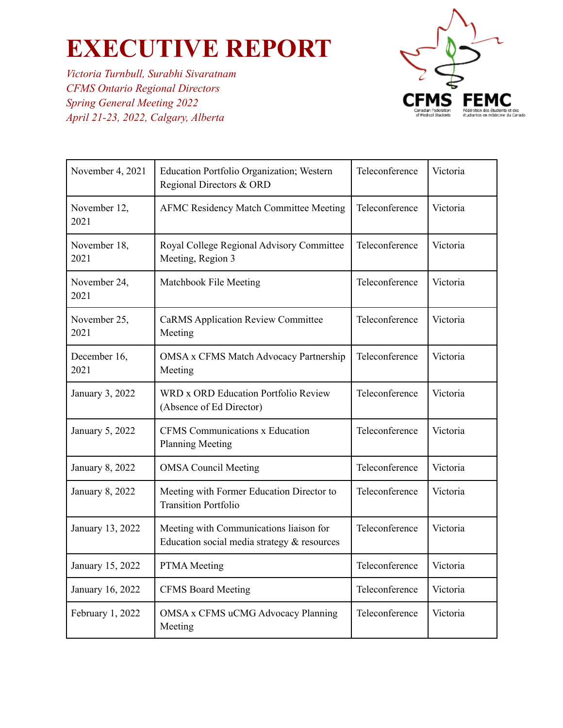*Victoria Turnbull, Surabhi Sivaratnam CFMS Ontario Regional Directors Spring General Meeting 2022 April 21-23, 2022, Calgary, Alberta*



| November 4, 2021     | Education Portfolio Organization; Western<br>Regional Directors & ORD                  | Teleconference | Victoria |
|----------------------|----------------------------------------------------------------------------------------|----------------|----------|
| November 12,<br>2021 | <b>AFMC Residency Match Committee Meeting</b>                                          | Teleconference | Victoria |
| November 18,<br>2021 | Royal College Regional Advisory Committee<br>Meeting, Region 3                         | Teleconference | Victoria |
| November 24,<br>2021 | Matchbook File Meeting                                                                 | Teleconference | Victoria |
| November 25,<br>2021 | <b>CaRMS Application Review Committee</b><br>Meeting                                   | Teleconference | Victoria |
| December 16,<br>2021 | OMSA x CFMS Match Advocacy Partnership<br>Meeting                                      | Teleconference | Victoria |
| January 3, 2022      | WRD x ORD Education Portfolio Review<br>(Absence of Ed Director)                       | Teleconference | Victoria |
| January 5, 2022      | CFMS Communications x Education<br><b>Planning Meeting</b>                             | Teleconference | Victoria |
| January 8, 2022      | <b>OMSA Council Meeting</b>                                                            | Teleconference | Victoria |
| January 8, 2022      | Meeting with Former Education Director to<br><b>Transition Portfolio</b>               | Teleconference | Victoria |
| January 13, 2022     | Meeting with Communications liaison for<br>Education social media strategy & resources | Teleconference | Victoria |
| January 15, 2022     | PTMA Meeting                                                                           | Teleconference | Victoria |
| January 16, 2022     | <b>CFMS Board Meeting</b>                                                              | Teleconference | Victoria |
| February 1, 2022     | <b>OMSA x CFMS uCMG Advocacy Planning</b><br>Meeting                                   | Teleconference | Victoria |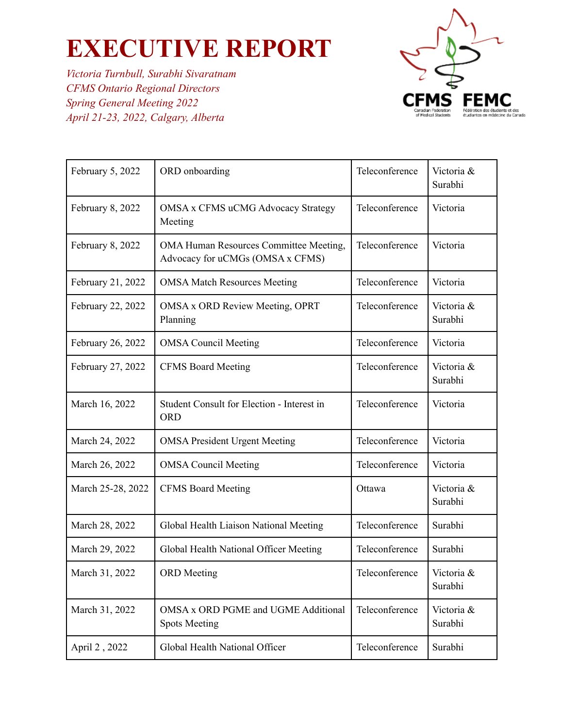*Victoria Turnbull, Surabhi Sivaratnam CFMS Ontario Regional Directors Spring General Meeting 2022 April 21-23, 2022, Calgary, Alberta*



| February 5, 2022  | ORD onboarding                                                                    | Teleconference | Victoria &<br>Surabhi |
|-------------------|-----------------------------------------------------------------------------------|----------------|-----------------------|
| February 8, 2022  | <b>OMSA x CFMS uCMG Advocacy Strategy</b><br>Meeting                              | Teleconference | Victoria              |
| February 8, 2022  | <b>OMA Human Resources Committee Meeting,</b><br>Advocacy for uCMGs (OMSA x CFMS) | Teleconference | Victoria              |
| February 21, 2022 | <b>OMSA Match Resources Meeting</b>                                               | Teleconference | Victoria              |
| February 22, 2022 | <b>OMSA x ORD Review Meeting, OPRT</b><br>Planning                                | Teleconference | Victoria &<br>Surabhi |
| February 26, 2022 | <b>OMSA Council Meeting</b>                                                       | Teleconference | Victoria              |
| February 27, 2022 | <b>CFMS Board Meeting</b>                                                         | Teleconference | Victoria &<br>Surabhi |
| March 16, 2022    | Student Consult for Election - Interest in<br><b>ORD</b>                          | Teleconference | Victoria              |
| March 24, 2022    | <b>OMSA President Urgent Meeting</b>                                              | Teleconference | Victoria              |
| March 26, 2022    | <b>OMSA Council Meeting</b>                                                       | Teleconference | Victoria              |
| March 25-28, 2022 | <b>CFMS Board Meeting</b>                                                         | Ottawa         | Victoria &<br>Surabhi |
| March 28, 2022    | Global Health Liaison National Meeting                                            | Teleconference | Surabhi               |
| March 29, 2022    | Global Health National Officer Meeting                                            | Teleconference | Surabhi               |
| March 31, 2022    | <b>ORD</b> Meeting                                                                | Teleconference | Victoria &<br>Surabhi |
| March 31, 2022    | OMSA x ORD PGME and UGME Additional<br><b>Spots Meeting</b>                       | Teleconference | Victoria &<br>Surabhi |
| April 2, 2022     | Global Health National Officer                                                    | Teleconference | Surabhi               |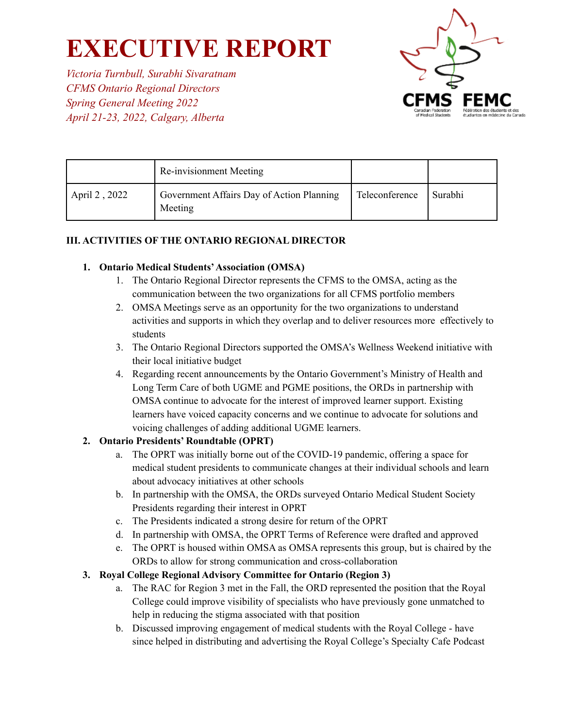*Victoria Turnbull, Surabhi Sivaratnam CFMS Ontario Regional Directors Spring General Meeting 2022 April 21-23, 2022, Calgary, Alberta*



|               | Re-invisionment Meeting                              |                |         |
|---------------|------------------------------------------------------|----------------|---------|
| April 2, 2022 | Government Affairs Day of Action Planning<br>Meeting | Teleconference | Surabhi |

### **III. ACTIVITIES OF THE ONTARIO REGIONAL DIRECTOR**

#### **1. Ontario Medical Students'Association (OMSA)**

- 1. The Ontario Regional Director represents the CFMS to the OMSA, acting as the communication between the two organizations for all CFMS portfolio members
- 2. OMSA Meetings serve as an opportunity for the two organizations to understand activities and supports in which they overlap and to deliver resources more effectively to students
- 3. The Ontario Regional Directors supported the OMSA's Wellness Weekend initiative with their local initiative budget
- 4. Regarding recent announcements by the Ontario Government's Ministry of Health and Long Term Care of both UGME and PGME positions, the ORDs in partnership with OMSA continue to advocate for the interest of improved learner support. Existing learners have voiced capacity concerns and we continue to advocate for solutions and voicing challenges of adding additional UGME learners.

#### **2. Ontario Presidents' Roundtable (OPRT)**

- a. The OPRT was initially borne out of the COVID-19 pandemic, offering a space for medical student presidents to communicate changes at their individual schools and learn about advocacy initiatives at other schools
- b. In partnership with the OMSA, the ORDs surveyed Ontario Medical Student Society Presidents regarding their interest in OPRT
- c. The Presidents indicated a strong desire for return of the OPRT
- d. In partnership with OMSA, the OPRT Terms of Reference were drafted and approved
- e. The OPRT is housed within OMSA as OMSA represents this group, but is chaired by the ORDs to allow for strong communication and cross-collaboration

#### **3. Royal College Regional Advisory Committee for Ontario (Region 3)**

- a. The RAC for Region 3 met in the Fall, the ORD represented the position that the Royal College could improve visibility of specialists who have previously gone unmatched to help in reducing the stigma associated with that position
- b. Discussed improving engagement of medical students with the Royal College have since helped in distributing and advertising the Royal College's Specialty Cafe Podcast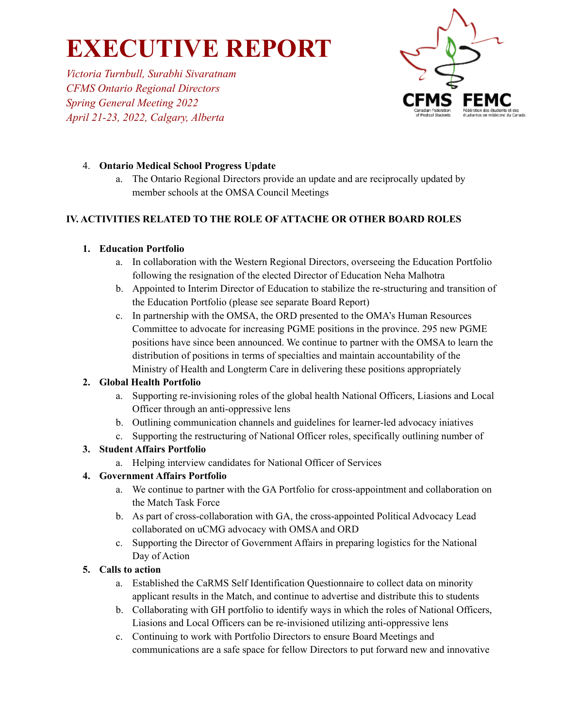*Victoria Turnbull, Surabhi Sivaratnam CFMS Ontario Regional Directors Spring General Meeting 2022 April 21-23, 2022, Calgary, Alberta*



### 4. **Ontario Medical School Progress Update**

a. The Ontario Regional Directors provide an update and are reciprocally updated by member schools at the OMSA Council Meetings

### **IV. ACTIVITIES RELATED TO THE ROLE OF ATTACHE OR OTHER BOARD ROLES**

### **1. Education Portfolio**

- a. In collaboration with the Western Regional Directors, overseeing the Education Portfolio following the resignation of the elected Director of Education Neha Malhotra
- b. Appointed to Interim Director of Education to stabilize the re-structuring and transition of the Education Portfolio (please see separate Board Report)
- c. In partnership with the OMSA, the ORD presented to the OMA's Human Resources Committee to advocate for increasing PGME positions in the province. 295 new PGME positions have since been announced. We continue to partner with the OMSA to learn the distribution of positions in terms of specialties and maintain accountability of the Ministry of Health and Longterm Care in delivering these positions appropriately

### **2. Global Health Portfolio**

- a. Supporting re-invisioning roles of the global health National Officers, Liasions and Local Officer through an anti-oppressive lens
- b. Outlining communication channels and guidelines for learner-led advocacy iniatives
- c. Supporting the restructuring of National Officer roles, specifically outlining number of

### **3. Student Affairs Portfolio**

a. Helping interview candidates for National Officer of Services

### **4. Government Affairs Portfolio**

- a. We continue to partner with the GA Portfolio for cross-appointment and collaboration on the Match Task Force
- b. As part of cross-collaboration with GA, the cross-appointed Political Advocacy Lead collaborated on uCMG advocacy with OMSA and ORD
- c. Supporting the Director of Government Affairs in preparing logistics for the National Day of Action

### **5. Calls to action**

- a. Established the CaRMS Self Identification Questionnaire to collect data on minority applicant results in the Match, and continue to advertise and distribute this to students
- b. Collaborating with GH portfolio to identify ways in which the roles of National Officers, Liasions and Local Officers can be re-invisioned utilizing anti-oppressive lens
- c. Continuing to work with Portfolio Directors to ensure Board Meetings and communications are a safe space for fellow Directors to put forward new and innovative